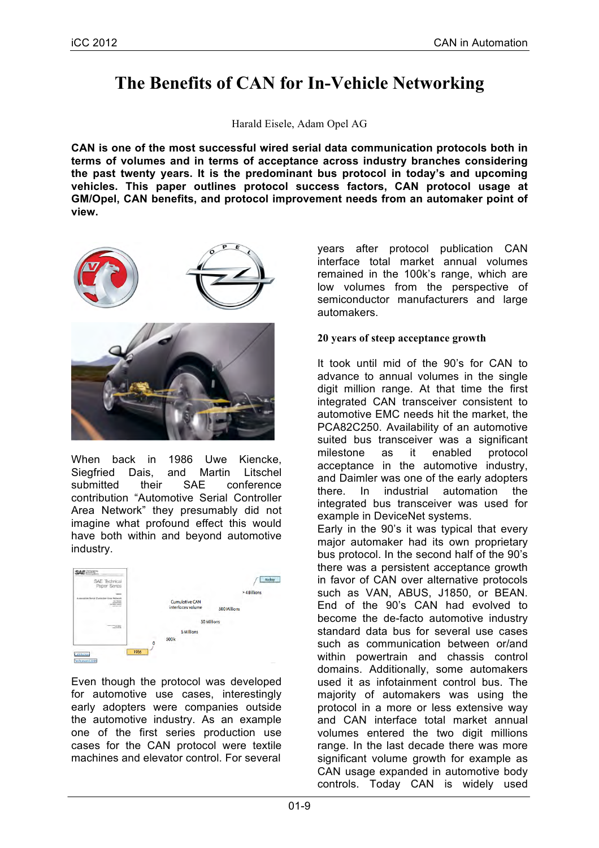# **The Benefits of CAN for In-Vehicle Networking**

Harald Eisele, Adam Opel AG

**CAN is one of the most successful wired serial data communication protocols both in terms of volumes and in terms of acceptance across industry branches considering the past twenty years. It is the predominant bus protocol in today's and upcoming vehicles. This paper outlines protocol success factors, CAN protocol usage at GM/Opel, CAN benefits, and protocol improvement needs from an automaker point of view.**



When back in 1986 Uwe Kiencke. Siegfried Dais, and Martin Litschel submitted their SAE conference contribution "Automotive Serial Controller Area Network" they presumably did not imagine what profound effect this would have both within and beyond automotive industry.



Even though the protocol was developed for automotive use cases, interestingly early adopters were companies outside the automotive industry. As an example one of the first series production use cases for the CAN protocol were textile machines and elevator control. For several

years after protocol publication CAN interface total market annual volumes remained in the 100k's range, which are low volumes from the perspective of semiconductor manufacturers and large automakers.

### **20 years of steep acceptance growth**

It took until mid of the 90's for CAN to advance to annual volumes in the single digit million range. At that time the first integrated CAN transceiver consistent to automotive EMC needs hit the market, the PCA82C250. Availability of an automotive suited bus transceiver was a significant milestone as it enabled protocol acceptance in the automotive industry, and Daimler was one of the early adopters there. In industrial automation the integrated bus transceiver was used for example in DeviceNet systems.

Early in the 90's it was typical that every major automaker had its own proprietary bus protocol. In the second half of the 90's there was a persistent acceptance growth in favor of CAN over alternative protocols such as VAN, ABUS, J1850, or BEAN. End of the 90's CAN had evolved to become the de-facto automotive industry standard data bus for several use cases such as communication between or/and within powertrain and chassis control domains. Additionally, some automakers used it as infotainment control bus. The majority of automakers was using the protocol in a more or less extensive way and CAN interface total market annual volumes entered the two digit millions range. In the last decade there was more significant volume growth for example as CAN usage expanded in automotive body controls. Today CAN is widely used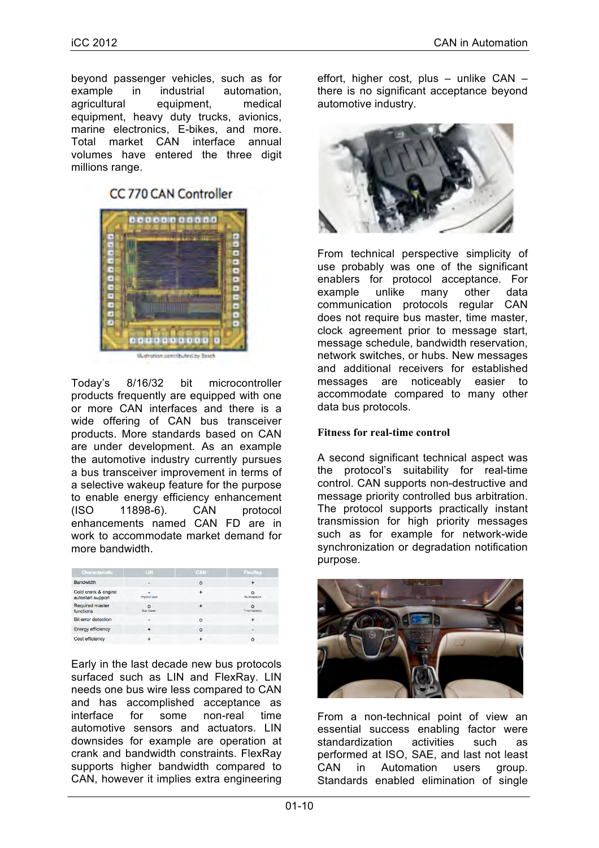beyond passenger vehicles, such as for example in industrial automation, agricultural equipment, medical equipment, heavy duty trucks, avionics, marine electronics, E-bikes, and more. Total market CAN interface annual volumes have entered the three digit millions range.

## CC 770 CAN Controller



in contributed by

Today's 8/16/32 bit microcontroller products frequently are equipped with one or more CAN interfaces and there is a wide offering of CAN bus transceiver products. More standards based on CAN are under development. As an example the automotive industry currently pursues a bus transceiver improvement in terms of a selective wakeup feature for the purpose to enable energy efficiency enhancement (ISO 11898-6). CAN protocol enhancements named CAN FD are in work to accommodate market demand for more bandwidth.

| Characteristic                           | LIN.                   | <b>CAN</b> | FlexRay                    |
|------------------------------------------|------------------------|------------|----------------------------|
| <b>Bandwidth</b>                         |                        | $\circ$    |                            |
| Cold crank & engine<br>autostart support | Physical layer         |            | $\Omega$<br>Re-integration |
| <b>Required master</b><br>functions      | o<br><b>Bus master</b> |            | $\Omega$<br>Time master(s) |
| <b>Bit error detection</b>               |                        | $\circ$    | $\ddot{}$                  |
| <b>Energy efficiency</b>                 |                        | $\circ$    |                            |
| <b>Cost efficiency</b>                   |                        |            | $\circ$                    |

Early in the last decade new bus protocols surfaced such as LIN and FlexRay. LIN needs one bus wire less compared to CAN and has accomplished acceptance as interface for some non-real time automotive sensors and actuators. LIN downsides for example are operation at crank and bandwidth constraints. FlexRay supports higher bandwidth compared to CAN, however it implies extra engineering

effort, higher cost, plus – unlike CAN – there is no significant acceptance beyond automotive industry.



From technical perspective simplicity of use probably was one of the significant enablers for protocol acceptance. For example unlike many other data communication protocols regular CAN does not require bus master, time master, clock agreement prior to message start, message schedule, bandwidth reservation, network switches, or hubs. New messages and additional receivers for established messages are noticeably easier to accommodate compared to many other data bus protocols.

### **Fitness for real-time control**

A second significant technical aspect was the protocol's suitability for real-time control. CAN supports non-destructive and message priority controlled bus arbitration. The protocol supports practically instant transmission for high priority messages such as for example for network-wide synchronization or degradation notification purpose.



From a non-technical point of view an essential success enabling factor were standardization activities such as performed at ISO, SAE, and last not least CAN in Automation users group. Standards enabled elimination of single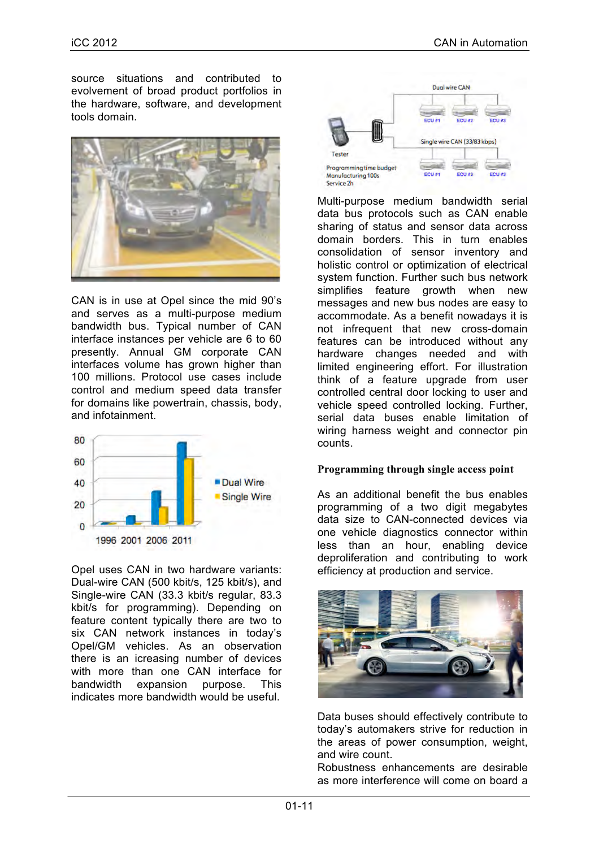source situations and contributed to evolvement of broad product portfolios in the hardware, software, and development tools domain.



CAN is in use at Opel since the mid 90's and serves as a multi-purpose medium bandwidth bus. Typical number of CAN interface instances per vehicle are 6 to 60 presently. Annual GM corporate CAN interfaces volume has grown higher than 100 millions. Protocol use cases include control and medium speed data transfer for domains like powertrain, chassis, body, and infotainment.



Opel uses CAN in two hardware variants: Dual-wire CAN (500 kbit/s, 125 kbit/s), and Single-wire CAN (33.3 kbit/s regular, 83.3 kbit/s for programming). Depending on feature content typically there are two to six CAN network instances in today's Opel/GM vehicles. As an observation there is an icreasing number of devices with more than one CAN interface for bandwidth expansion purpose. This indicates more bandwidth would be useful.



Multi-purpose medium bandwidth serial data bus protocols such as CAN enable sharing of status and sensor data across domain borders. This in turn enables consolidation of sensor inventory and holistic control or optimization of electrical system function. Further such bus network simplifies feature growth when new messages and new bus nodes are easy to accommodate. As a benefit nowadays it is not infrequent that new cross-domain features can be introduced without any hardware changes needed and with limited engineering effort. For illustration think of a feature upgrade from user controlled central door locking to user and vehicle speed controlled locking. Further, serial data buses enable limitation of wiring harness weight and connector pin counts.

#### **Programming through single access point**

As an additional benefit the bus enables programming of a two digit megabytes data size to CAN-connected devices via one vehicle diagnostics connector within less than an hour, enabling device deproliferation and contributing to work efficiency at production and service.



Data buses should effectively contribute to today's automakers strive for reduction in the areas of power consumption, weight, and wire count.

Robustness enhancements are desirable as more interference will come on board a